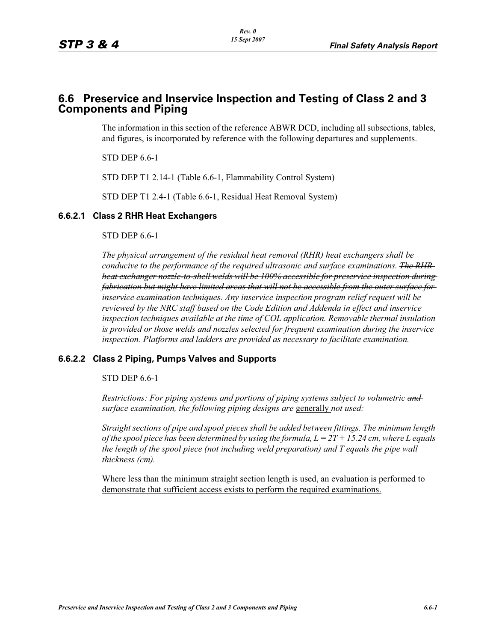# **6.6 Preservice and Inservice Inspection and Testing of Class 2 and 3 Components and Piping**

The information in this section of the reference ABWR DCD, including all subsections, tables, and figures, is incorporated by reference with the following departures and supplements.

STD DEP 6.6-1

STD DEP T1 2.14-1 (Table 6.6-1, Flammability Control System)

STD DEP T1 2.4-1 (Table 6.6-1, Residual Heat Removal System)

## **6.6.2.1 Class 2 RHR Heat Exchangers**

### STD DEP 6.6-1

*The physical arrangement of the residual heat removal (RHR) heat exchangers shall be conducive to the performance of the required ultrasonic and surface examinations. The RHR heat exchanger nozzle-to-shell welds will be 100% accessible for preservice inspection during fabrication but might have limited areas that will not be accessible from the outer surface for inservice examination techniques. Any inservice inspection program relief request will be reviewed by the NRC staff based on the Code Edition and Addenda in effect and inservice inspection techniques available at the time of COL application. Removable thermal insulation is provided or those welds and nozzles selected for frequent examination during the inservice inspection. Platforms and ladders are provided as necessary to facilitate examination.*

## **6.6.2.2 Class 2 Piping, Pumps Valves and Supports**

STD DEP 6.6-1

*Restrictions: For piping systems and portions of piping systems subject to volumetric and surface examination, the following piping designs are* generally *not used:*

*Straight sections of pipe and spool pieces shall be added between fittings. The minimum length of the spool piece has been determined by using the formula, L = 2T + 15.24 cm, where L equals the length of the spool piece (not including weld preparation) and T equals the pipe wall thickness (cm).*

Where less than the minimum straight section length is used, an evaluation is performed to demonstrate that sufficient access exists to perform the required examinations.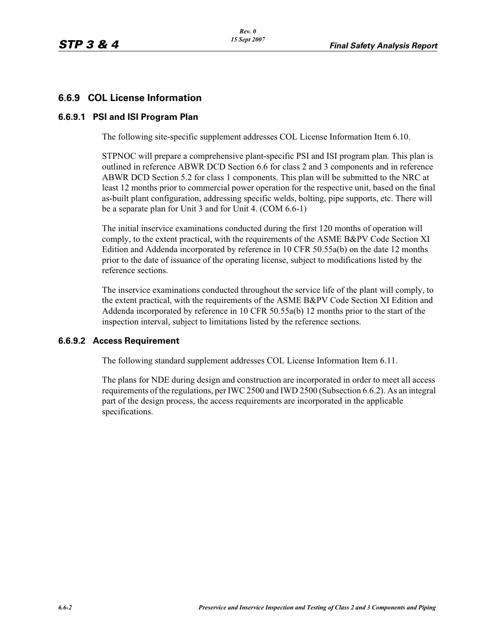## **6.6.9 COL License Information**

## **6.6.9.1 PSI and ISI Program Plan**

The following site-specific supplement addresses COL License Information Item 6.10.

STPNOC will prepare a comprehensive plant-specific PSI and ISI program plan. This plan is outlined in reference ABWR DCD Section 6.6 for class 2 and 3 components and in reference ABWR DCD Section 5.2 for class 1 components. This plan will be submitted to the NRC at least 12 months prior to commercial power operation for the respective unit, based on the final as-built plant configuration, addressing specific welds, bolting, pipe supports, etc. There will be a separate plan for Unit 3 and for Unit 4. (COM 6.6-1)

The initial inservice examinations conducted during the first 120 months of operation will comply, to the extent practical, with the requirements of the ASME B&PV Code Section XI Edition and Addenda incorporated by reference in 10 CFR 50.55a(b) on the date 12 months prior to the date of issuance of the operating license, subject to modifications listed by the reference sections.

The inservice examinations conducted throughout the service life of the plant will comply, to the extent practical, with the requirements of the ASME B&PV Code Section XI Edition and Addenda incorporated by reference in 10 CFR 50.55a(b) 12 months prior to the start of the inspection interval, subject to limitations listed by the reference sections.

## **6.6.9.2 Access Requirement**

The following standard supplement addresses COL License Information Item 6.11.

The plans for NDE during design and construction are incorporated in order to meet all access requirements of the regulations, per IWC 2500 and IWD 2500 (Subsection 6.6.2). As an integral part of the design process, the access requirements are incorporated in the applicable specifications.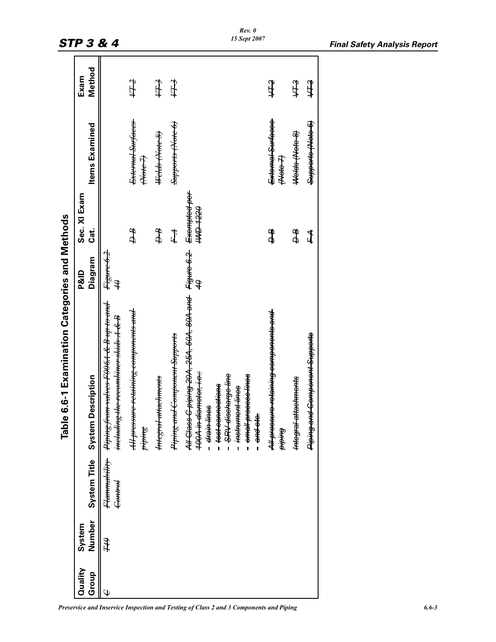|         |        |                                                | Table 6.6-1 Examination Categories and Methods                                                                                                                                                                                                                 |                                        |              |                                |        |
|---------|--------|------------------------------------------------|----------------------------------------------------------------------------------------------------------------------------------------------------------------------------------------------------------------------------------------------------------------|----------------------------------------|--------------|--------------------------------|--------|
| Quality | System |                                                |                                                                                                                                                                                                                                                                | <b>P&amp;ID</b>                        | Sec. XI Exam |                                | Exam   |
| Group   | Number | System Title<br>System                         | <b>Description</b>                                                                                                                                                                                                                                             | Diagram                                | Cat.         | <b>Items Examined</b>          | Method |
| Ψ       | H      | Fl <del>ammability</del><br><del>Control</del> | <del>rom valves F006.1 &amp; B up to and</del><br><del>including the recombiner skids A &amp; B</del><br>Piping fi                                                                                                                                             | <del>Figure 6.2</del><br>$\mathcal{F}$ |              |                                |        |
|         |        |                                                | All pressure-retaining components and<br><del>piping</del>                                                                                                                                                                                                     |                                        | ₽₽           | External Surfaces<br>Alote 7)  | FL7    |
|         |        |                                                | <b>Integral attachments</b>                                                                                                                                                                                                                                    |                                        | ₽₽           | <del>Welds (Note 8)</del>      | FLA    |
|         |        |                                                | Piping and Component Supports                                                                                                                                                                                                                                  |                                        | $F\!A$       | Supports (Note 6)              | 円      |
|         |        |                                                | All Class C piping 20A, 25A, 50A, 80A and Figure 6.2 Exempted per<br><del>100A in diameter, i.e</del><br>SRV discharge line<br><del>small process lines</del><br>- <del>test connections</del><br>- instrument lines<br>- chain tines<br>- <del>and atc.</del> | $\hat{\theta}$                         | 0221 AM      |                                |        |
|         |        |                                                | A <del>ll pressure retaining components and l</del><br><del>Burdid</del>                                                                                                                                                                                       |                                        | ЪФ           | External Surfaces<br>tt of the | なけん    |
|         |        |                                                | attachments<br><del>lutogral</del>                                                                                                                                                                                                                             |                                        | क्ष          | Helds Hete 8                   | देम्प  |
|         |        |                                                | <del>nd Component Supports</del><br><del>Piping a</del>                                                                                                                                                                                                        |                                        | 1            | Supports (Note 6)              | fith   |
|         |        |                                                |                                                                                                                                                                                                                                                                |                                        |              |                                |        |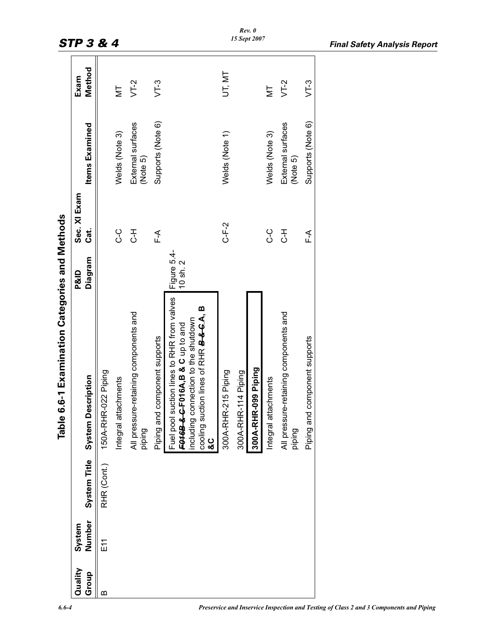|         |        |              | 6.6-1 Examination Categories and Methods<br><b>Table</b>                                                                                                                                 |                             |              |                               |        |
|---------|--------|--------------|------------------------------------------------------------------------------------------------------------------------------------------------------------------------------------------|-----------------------------|--------------|-------------------------------|--------|
| Quality | System |              |                                                                                                                                                                                          | <b>P&amp;ID</b>             | Sec. XI Exam |                               | Exam   |
| Group   | Number | System Title | <b>Description</b><br><b>System</b>                                                                                                                                                      | Diagram                     | Cat.         | <b>Items Examined</b>         | Method |
|         | E11    | RHR (Cont.)  | 150A-RHR-022 Piping                                                                                                                                                                      |                             |              |                               |        |
|         |        |              | Integral attachments                                                                                                                                                                     |                             | ပု<br>ပ      | Welds (Note 3)                | Σh     |
|         |        |              | All pressure-retaining components and<br>piping                                                                                                                                          |                             | ∓<br>ئ       | External surfaces<br>(Note 5) | $VT-2$ |
|         |        |              | Piping and component supports                                                                                                                                                            |                             | ∱∟<br>⊾      | Supports (Note 6)             | $VT-3$ |
|         |        |              | suction lines to RHR from valves<br>cooling suction lines of RHR <b>B&amp;CA</b> , B<br>including connection to the shutdown<br>F016B-&-C-F016A,B & C up to and<br>Fuel pool<br>ပ္ပ<br>စ | Figure 5.4-<br>$10$ sh. $2$ |              |                               |        |
|         |        |              | 300A-RHR-215 Piping                                                                                                                                                                      |                             | $C$ -F-2     | Welds (Note 1)                | UT, MT |
|         |        |              | 300A-RHR-114 Piping                                                                                                                                                                      |                             |              |                               |        |
|         |        |              | 300A-RHR-099 Piping                                                                                                                                                                      |                             |              |                               |        |
|         |        |              | Integral attachments                                                                                                                                                                     |                             | ი<br>ი       | Welds (Note 3)                | Ξ      |
|         |        |              | All pressure-retaining components and<br>piping                                                                                                                                          |                             | ∓<br>ن       | External surfaces<br>(Note 5) | $VT-2$ |
|         |        |              | Piping and component supports                                                                                                                                                            |                             | ∱∟<br>∟      | Supports (Note 6)             | $VT-3$ |
|         |        |              |                                                                                                                                                                                          |                             |              |                               |        |